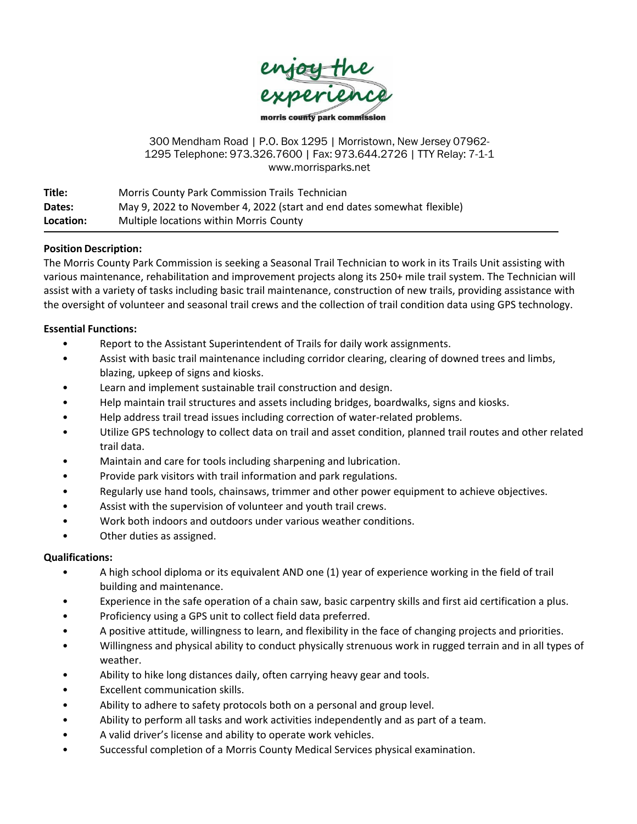

300 Mendham Road | P.O. Box 1295 | Morristown, New Jersey 07962- 1295 Telephone: 973.326.7600 | Fax: 973.644.2726 | TTY Relay: 7-1-1 www.morrisparks.net

| Title:    | Morris County Park Commission Trails Technician                         |
|-----------|-------------------------------------------------------------------------|
| Dates:    | May 9, 2022 to November 4, 2022 (start and end dates somewhat flexible) |
| Location: | Multiple locations within Morris County                                 |

# **Position Description:**

The Morris County Park Commission is seeking a Seasonal Trail Technician to work in its Trails Unit assisting with various maintenance, rehabilitation and improvement projects along its 250+ mile trail system. The Technician will assist with a variety of tasks including basic trail maintenance, construction of new trails, providing assistance with the oversight of volunteer and seasonal trail crews and the collection of trail condition data using GPS technology.

# **Essential Functions:**

- Report to the Assistant Superintendent of Trails for daily work assignments.
- Assist with basic trail maintenance including corridor clearing, clearing of downed trees and limbs, blazing, upkeep of signs and kiosks.
- Learn and implement sustainable trail construction and design.
- Help maintain trail structures and assets including bridges, boardwalks, signs and kiosks.
- Help address trail tread issues including correction of water-related problems.
- Utilize GPS technology to collect data on trail and asset condition, planned trail routes and other related trail data.
- Maintain and care for tools including sharpening and lubrication.
- Provide park visitors with trail information and park regulations.
- Regularly use hand tools, chainsaws, trimmer and other power equipment to achieve objectives.
- Assist with the supervision of volunteer and youth trail crews.
- Work both indoors and outdoors under various weather conditions.
- Other duties as assigned.

# **Qualifications:**

- A high school diploma or its equivalent AND one (1) year of experience working in the field of trail building and maintenance.
- Experience in the safe operation of a chain saw, basic carpentry skills and first aid certification a plus.
- Proficiency using a GPS unit to collect field data preferred.
- A positive attitude, willingness to learn, and flexibility in the face of changing projects and priorities.
- Willingness and physical ability to conduct physically strenuous work in rugged terrain and in all types of weather.
- Ability to hike long distances daily, often carrying heavy gear and tools.
- Excellent communication skills.
- Ability to adhere to safety protocols both on a personal and group level.
- Ability to perform all tasks and work activities independently and as part of a team.
- A valid driver's license and ability to operate work vehicles.
- Successful completion of a Morris County Medical Services physical examination.